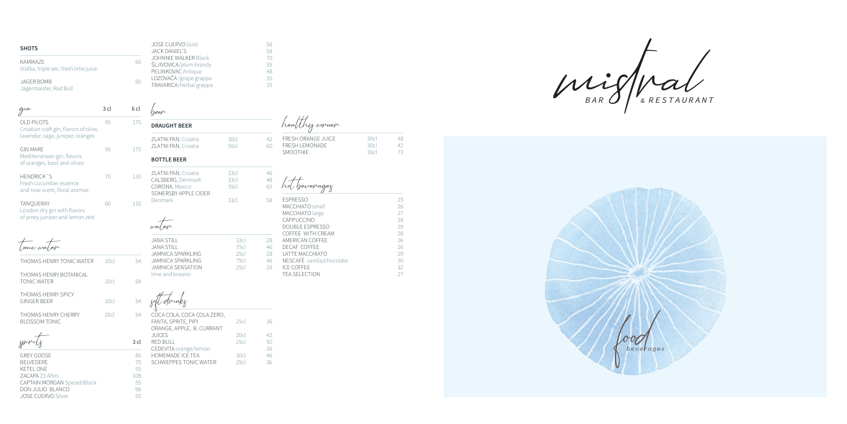| <b>SHOTS</b>                                    |    | <b>JOSE CUERVO Gold</b><br>JACK DANIFI'S                                    | 58<br>58       |
|-------------------------------------------------|----|-----------------------------------------------------------------------------|----------------|
| KAMIKA7F<br>Vodka, triple sec, fresh lime juice | 60 | <b>JOHNNIE WALKER Black</b><br>ŠLJIVOVICA/plum brandy<br>PELINKOVAC Antique | 70<br>35<br>48 |
| JAGER BOMB<br>Jägermaister, Red Bull            | 60 | LOZOVAČA / grape grappa<br>TRAVARICA/herbal grappa                          | 35<br>35       |

| gin                                                                           | 3 <sub>cl</sub> | 6 <sub>cl</sub> |                                                                                    |                                  |                |
|-------------------------------------------------------------------------------|-----------------|-----------------|------------------------------------------------------------------------------------|----------------------------------|----------------|
| <b>OLD PILOTS</b><br>Croatian craft gin, flavors of olive,                    | 95              | 175             | <b>DRAUGHT BEER</b>                                                                |                                  |                |
| lavender, sage, juniper, oranges                                              |                 |                 | ZLATNI PAN, Croatia                                                                | 30cl                             | 42             |
| <b>GIN MARE</b><br>Mediterranean gin, flavors<br>of oranges, basil and olives | 95              | 175             | ZLATNI PAN, Croatia<br><b>BOTTLE BEER</b>                                          | 50c                              | 60             |
| HENDRICK'S<br>Fresh cucumber essence<br>and rose scent, floral aromas         | 70              | 130             | ZLATNI PAN, Croatia<br>CALSBERG, Denmark<br>CORONA, Mexico<br>SOMERSBY APPLE CIDER | 33cl<br>33c<br>35cl              | 46<br>48<br>65 |
| TANQUERAY<br>London dry gin with flavors<br>of piney juniper and lemon zest   | 60              | 110             | Denmark                                                                            | 33cl                             | 58             |
| Tonic water                                                                   |                 |                 | <b>JANA STILL</b><br><b>JANA STILL</b><br><b>JAMNICA SPARKLING</b>                 | 33 <sub>cl</sub><br>75cl<br>25cl | 28<br>46<br>28 |
| THOMAS HENRY TONIC WATER                                                      | 20c             | 54              | <b>JAMNICA SPARKLING</b><br><b>JAMNICA SENSATION</b>                               | 75cl<br>25c                      | 46<br>28       |
| THOMAS HENRY BOTANICAL<br><b>TONIC WATER</b>                                  | 20c             | 54              | lime and kiwano                                                                    |                                  |                |
| <b>THOMAS HENRY SPICY</b><br><b>GINGER BEER</b>                               | 20c             | 54              | soft drinks                                                                        |                                  |                |
| <b>THOMAS HENRY CHERRY</b><br><b>BLOSSOM TONIC</b>                            | 20c             | 54              | COCA COLA, COCA COLA ZERO,<br>FANTA, SPRITE, PIPI<br>ORANGE, APPLE, B. CURRANT     | 25cl                             | 36             |
|                                                                               |                 | 3 cl            | <b>JUICES</b><br><b>RED BULL</b>                                                   | 20cl<br>25 <sub>cl</sub>         | 42<br>50       |
|                                                                               |                 |                 | CEDEVITA orange/lemon                                                              |                                  | 26             |
| <b>GREY GOOSE</b>                                                             |                 | 85              | <b>HOMEMADE ICE TEA</b>                                                            | 30cl                             | 46             |

|                             |      | ORANGE, APPLE, B. CURRANT<br><b>JUICES</b> | 20cl             |
|-----------------------------|------|--------------------------------------------|------------------|
|                             | 3 cl | <b>RED BULL</b><br>CEDEVITA orange/lemon   | 25 <sub>cl</sub> |
| <b>GREY GOOSE</b>           | 85   | <b>HOMEMADE ICE TEA</b>                    | 30cl             |
| <b>BEIVEDERE</b>            | 75   | SCHWEPPES TONIC WATER                      | 25 <sub>cl</sub> |
| KFTFI ONF                   | 55   |                                            |                  |
| ZACAPA 23 Años              | 108  |                                            |                  |
| CAPTAIN MORGAN Spiced/Black | 55   |                                            |                  |
| DON JULIO BLANCO            | 98   |                                            |                  |
| <b>JOSE CUERVO Silver</b>   | 55   |                                            |                  |

| 30cl<br>50cl                                              | 42<br>60                   | <b>FRESH ORANGE JUIC</b><br><b>FRESH I FMONADE</b><br><b>SMOOTHIE</b>                                                          |
|-----------------------------------------------------------|----------------------------|--------------------------------------------------------------------------------------------------------------------------------|
| 33cl<br>33cl<br>35c                                       | 46<br>48<br>65             | hot beverages                                                                                                                  |
| 33cl                                                      | 58                         | <b>ESPRESSO</b><br>MACCHIATO small<br>MACCHIATO large<br>CAPPUCCINO<br>DOUBLE ESPRESSO<br>COFFFF WITH CREAM                    |
| 33 <sub>cl</sub><br>75c<br>25c<br>75c<br>25 <sub>cl</sub> | 28<br>46<br>28<br>46<br>28 | AMERICAN COFFEE<br><b>DECAF COFFEE</b><br><b>LATTE MACCHIATO</b><br>NESCAFÉ vanilla/cho<br><b>ICE COFFEE</b><br>TFA SFI FCTION |
|                                                           |                            |                                                                                                                                |

| healthy corner |  |
|----------------|--|
| SHIDANGE ILL   |  |

| <b>FRESH ORANGE JUICE</b> | 30c | 48 |
|---------------------------|-----|----|
| <b>FRESH I EMONADE</b>    | 30c | 42 |
| <b>SMOOTHIF</b>           | 30c | 73 |
|                           |     |    |
|                           |     |    |
|                           |     |    |

36

| 58 | <b>ESPRESSO</b>           | 25 |
|----|---------------------------|----|
|    | MACCHIATO small           | 26 |
|    | MACCHIATO large           | 27 |
|    | CAPPUCCINO                | 28 |
|    | <b>DOUBLE ESPRESSO</b>    | 29 |
|    | COFFFF WITH CRFAM         | 28 |
| 28 | AMERICAN COFFEE           | 26 |
| 46 | DECAE COFFEE              | 26 |
| 28 | <b>LATTE MACCHIATO</b>    | 29 |
| 46 | NESCAFÉ vanilla/chocolate | 30 |
| 28 | <b>ICE COFFEE</b>         | 32 |
|    | <b>TEA SELECTION</b>      | 27 |



*B A R & RESTAURANT*